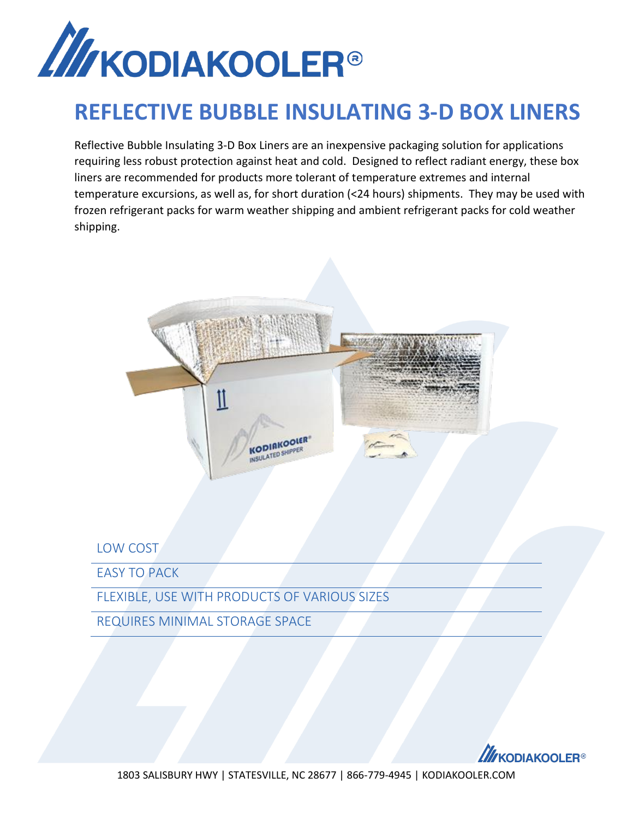

## **REFLECTIVE BUBBLE INSULATING 3-D BOX LINERS**

Reflective Bubble Insulating 3-D Box Liners are an inexpensive packaging solution for applications requiring less robust protection against heat and cold. Designed to reflect radiant energy, these box liners are recommended for products more tolerant of temperature extremes and internal temperature excursions, as well as, for short duration (<24 hours) shipments. They may be used with frozen refrigerant packs for warm weather shipping and ambient refrigerant packs for cold weather shipping.



LOW COST

EASY TO PACK

FLEXIBLE, USE WITH PRODUCTS OF VARIOUS SIZES

REQUIRES MINIMAL STORAGE SPACE

*M*KODIAKOOLER®

1803 SALISBURY HWY | STATESVILLE, NC 28677 | 866-779-4945 | KODIAKOOLER.COM